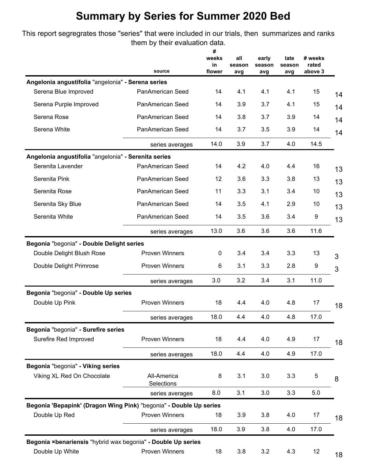This report segregrates those "series" that were included in our trials, then summarizes and ranks them by their evaluation data.

|                                                                    | source                    | #<br>weeks<br>in<br>flower | all<br>season<br>avg | early<br>season<br>avg | late<br>season<br>avg | # weeks<br>rated<br>above 3 |
|--------------------------------------------------------------------|---------------------------|----------------------------|----------------------|------------------------|-----------------------|-----------------------------|
| Angelonia angustifolia "angelonia" - Serena series                 |                           |                            |                      |                        |                       |                             |
| Serena Blue Improved                                               | PanAmerican Seed          | 14                         | 4.1                  | 4.1                    | 4.1                   | 15                          |
| Serena Purple Improved                                             | PanAmerican Seed          | 14                         | 3.9                  | 3.7                    | 4.1                   | 15                          |
| Serena Rose                                                        | PanAmerican Seed          | 14                         | 3.8                  | 3.7                    | 3.9                   | 14                          |
| Serena White                                                       | PanAmerican Seed          | 14                         | 3.7                  | 3.5                    | 3.9                   | 14                          |
|                                                                    | series averages           | 14.0                       | 3.9                  | 3.7                    | 4.0                   | 14.5                        |
| Angelonia angustifolia "angelonia" - Serenita series               |                           |                            |                      |                        |                       |                             |
| Serenita Lavender                                                  | PanAmerican Seed          | 14                         | 4.2                  | 4.0                    | 4.4                   | 16                          |
| Serenita Pink                                                      | PanAmerican Seed          | 12                         | 3.6                  | 3.3                    | 3.8                   | 13                          |
| Serenita Rose                                                      | PanAmerican Seed          | 11                         | 3.3                  | 3.1                    | 3.4                   | 10                          |
| Serenita Sky Blue                                                  | PanAmerican Seed          | 14                         | 3.5                  | 4.1                    | 2.9                   | 10                          |
| Serenita White                                                     | PanAmerican Seed          | 14                         | 3.5                  | 3.6                    | 3.4                   | 9                           |
|                                                                    | series averages           | 13.0                       | 3.6                  | 3.6                    | 3.6                   | 11.6                        |
| Begonia "begonia" - Double Delight series                          |                           |                            |                      |                        |                       |                             |
| Double Delight Blush Rose                                          | <b>Proven Winners</b>     | 0                          | 3.4                  | 3.4                    | 3.3                   | 13                          |
| Double Delight Primrose                                            | <b>Proven Winners</b>     | 6                          | 3.1                  | 3.3                    | 2.8                   | 9                           |
|                                                                    | series averages           | 3.0                        | 3.2                  | 3.4                    | 3.1                   | 11.0                        |
| Begonia "begonia" - Double Up series                               |                           |                            |                      |                        |                       |                             |
| Double Up Pink                                                     | <b>Proven Winners</b>     | 18                         | 4.4                  | 4.0                    | 4.8                   | 17                          |
|                                                                    | series averages           | 18.0                       | 4.4                  | 4.0                    | 4.8                   | 17.0                        |
| Begonia "begonia" - Surefire series                                |                           |                            |                      |                        |                       |                             |
| Surefire Red Improved                                              | Proven Winners            | 18                         | 4.4                  | 4.0                    | 4.9                   | 17                          |
|                                                                    | series averages           | 18.0                       | 4.4                  | 4.0                    | 4.9                   | 17.0                        |
| Begonia "begonia" - Viking series                                  |                           |                            |                      |                        |                       |                             |
| Viking XL Red On Chocolate                                         | All-America<br>Selections | 8                          | 3.1                  | 3.0                    | 3.3                   | 5                           |
|                                                                    | series averages           | 8.0                        | 3.1                  | $3.0\,$                | 3.3                   | 5.0                         |
| Begonia 'Bepapink' (Dragon Wing Pink) "begonia" - Double Up series |                           |                            |                      |                        |                       |                             |
| Double Up Red                                                      | Proven Winners            | 18                         | 3.9                  | 3.8                    | 4.0                   | 17                          |
|                                                                    | series averages           | 18.0                       | 3.9                  | 3.8                    | 4.0                   | 17.0                        |
| Begonia ×benariensis "hybrid wax begonia" - Double Up series       |                           |                            |                      |                        |                       |                             |
| Double Up White                                                    | Proven Winners            | 18                         | 3.8                  | 3.2                    | 4.3                   | 12                          |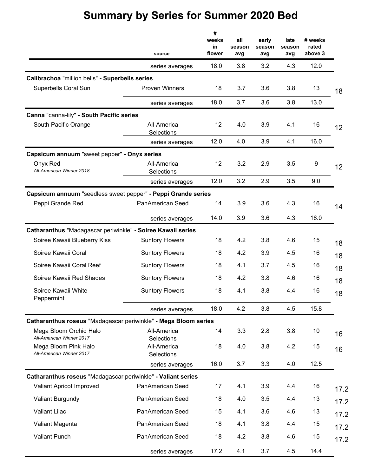|                                                                 | source                    | #<br>weeks<br>in<br>flower | all<br>season<br>avg | early<br>season<br>avg | late<br>season<br>avg | # weeks<br>rated<br>above 3 |      |
|-----------------------------------------------------------------|---------------------------|----------------------------|----------------------|------------------------|-----------------------|-----------------------------|------|
|                                                                 | series averages           | 18.0                       | 3.8                  | 3.2                    | 4.3                   | 12.0                        |      |
| Calibrachoa "million bells" - Superbells series                 |                           |                            |                      |                        |                       |                             |      |
| Superbells Coral Sun                                            | <b>Proven Winners</b>     | 18                         | 3.7                  | 3.6                    | 3.8                   | 13                          | 18   |
|                                                                 | series averages           | 18.0                       | 3.7                  | 3.6                    | 3.8                   | 13.0                        |      |
| Canna "canna-lily" - South Pacific series                       |                           |                            |                      |                        |                       |                             |      |
| South Pacific Orange                                            | All-America<br>Selections | 12                         | 4.0                  | 3.9                    | 4.1                   | 16                          | 12   |
|                                                                 | series averages           | 12.0                       | 4.0                  | 3.9                    | 4.1                   | 16.0                        |      |
| Capsicum annuum "sweet pepper" - Onyx series                    |                           |                            |                      |                        |                       |                             |      |
| Onyx Red<br>All-American Winner 2018                            | All-America<br>Selections | 12                         | 3.2                  | 2.9                    | 3.5                   | $\boldsymbol{9}$            | 12   |
|                                                                 | series averages           | 12.0                       | 3.2                  | 2.9                    | 3.5                   | 9.0                         |      |
| Capsicum annuum "seedless sweet pepper" - Peppi Grande series   |                           |                            |                      |                        |                       |                             |      |
| Peppi Grande Red                                                | PanAmerican Seed          | 14                         | 3.9                  | 3.6                    | 4.3                   | 16                          | 14   |
|                                                                 | series averages           | 14.0                       | 3.9                  | 3.6                    | 4.3                   | 16.0                        |      |
| Catharanthus "Madagascar periwinkle" - Soiree Kawaii series     |                           |                            |                      |                        |                       |                             |      |
| Soiree Kawaii Blueberry Kiss                                    | <b>Suntory Flowers</b>    | 18                         | 4.2                  | 3.8                    | 4.6                   | 15                          | 18   |
| Soiree Kawaii Coral                                             | <b>Suntory Flowers</b>    | 18                         | 4.2                  | 3.9                    | 4.5                   | 16                          | 18   |
| Soiree Kawaii Coral Reef                                        | <b>Suntory Flowers</b>    | 18                         | 4.1                  | 3.7                    | 4.5                   | 16                          | 18   |
| Soiree Kawaii Red Shades                                        | <b>Suntory Flowers</b>    | 18                         | 4.2                  | 3.8                    | 4.6                   | 16                          | 18   |
| Soiree Kawaii White<br>Peppermint                               | <b>Suntory Flowers</b>    | 18                         | 4.1                  | 3.8                    | 4.4                   | 16                          | 18   |
|                                                                 | series averages           | 18.0                       | 4.2                  | 3.8                    | 4.5                   | 15.8                        |      |
| Catharanthus roseus "Madagascar periwinkle" - Mega Bloom series |                           |                            |                      |                        |                       |                             |      |
| Mega Bloom Orchid Halo<br>All-American Winner 2017              | All-America<br>Selections | 14                         | 3.3                  | 2.8                    | 3.8                   | 10                          | 16   |
| Mega Bloom Pink Halo<br>All-American Winner 2017                | All-America<br>Selections | 18                         | 4.0                  | 3.8                    | 4.2                   | 15                          | 16   |
|                                                                 | series averages           | 16.0                       | 3.7                  | 3.3                    | 4.0                   | 12.5                        |      |
| Catharanthus roseus "Madagascar periwinkle" - Valiant series    |                           |                            |                      |                        |                       |                             |      |
| Valiant Apricot Improved                                        | PanAmerican Seed          | 17                         | 4.1                  | 3.9                    | 4.4                   | 16                          | 17.2 |
| Valiant Burgundy                                                | PanAmerican Seed          | 18                         | 4.0                  | 3.5                    | 4.4                   | 13                          | 17.2 |
| Valiant Lilac                                                   | PanAmerican Seed          | 15                         | 4.1                  | 3.6                    | 4.6                   | 13                          | 17.2 |
| Valiant Magenta                                                 | PanAmerican Seed          | 18                         | 4.1                  | 3.8                    | 4.4                   | 15                          | 17.2 |
| <b>Valiant Punch</b>                                            | PanAmerican Seed          | 18                         | 4.2                  | 3.8                    | 4.6                   | 15                          | 17.2 |
|                                                                 | series averages           | 17.2                       | 4.1                  | 3.7                    | 4.5                   | 14.4                        |      |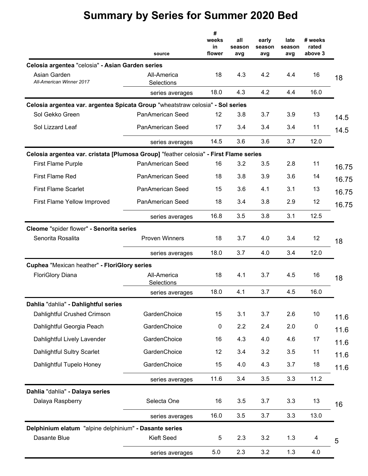| Celosia argentea "celosia" - Asian Garden series<br>Asian Garden<br>All-American Winner 2017<br>Celosia argentea var. argentea Spicata Group "wheatstraw celosia" - Sol series<br>Sol Gekko Green<br>Sol Lizzard Leaf | source<br>All-America<br>Selections<br>series averages<br><b>PanAmerican Seed</b><br><b>PanAmerican Seed</b> | #<br>weeks<br>in<br>flower<br>18<br>18.0<br>12<br>17 | all<br>season<br>avg<br>4.3<br>4.3<br>3.8<br>3.4 | early<br>season<br>avg<br>4.2<br>4.2<br>3.7<br>3.4 | late<br>season<br>avg<br>4.4<br>4.4<br>3.9<br>3.4 | # weeks<br>rated<br>above 3<br>16<br>16.0<br>13<br>11 | 18<br>14.5 |
|-----------------------------------------------------------------------------------------------------------------------------------------------------------------------------------------------------------------------|--------------------------------------------------------------------------------------------------------------|------------------------------------------------------|--------------------------------------------------|----------------------------------------------------|---------------------------------------------------|-------------------------------------------------------|------------|
|                                                                                                                                                                                                                       | series averages                                                                                              | 14.5                                                 | 3.6                                              | 3.6                                                | 3.7                                               | 12.0                                                  | 14.5       |
| Celosia argentea var. cristata [Plumosa Group] "feather celosia" - First Flame series                                                                                                                                 |                                                                                                              |                                                      |                                                  |                                                    |                                                   |                                                       |            |
| <b>First Flame Purple</b>                                                                                                                                                                                             | PanAmerican Seed                                                                                             | 16                                                   | 3.2                                              | 3.5                                                | 2.8                                               | 11                                                    | 16.75      |
| <b>First Flame Red</b>                                                                                                                                                                                                | PanAmerican Seed                                                                                             | 18                                                   | 3.8                                              | 3.9                                                | 3.6                                               | 14                                                    | 16.75      |
| <b>First Flame Scarlet</b>                                                                                                                                                                                            | PanAmerican Seed                                                                                             | 15                                                   | 3.6                                              | 4.1                                                | 3.1                                               | 13                                                    | 16.75      |
| First Flame Yellow Improved                                                                                                                                                                                           | PanAmerican Seed                                                                                             | 18                                                   | 3.4                                              | 3.8                                                | 2.9                                               | 12                                                    | 16.75      |
|                                                                                                                                                                                                                       | series averages                                                                                              | 16.8                                                 | 3.5                                              | 3.8                                                | 3.1                                               | 12.5                                                  |            |
| Cleome "spider flower" - Senorita series                                                                                                                                                                              |                                                                                                              |                                                      |                                                  |                                                    |                                                   |                                                       |            |
| Senorita Rosalita                                                                                                                                                                                                     | <b>Proven Winners</b>                                                                                        | 18                                                   | 3.7                                              | 4.0                                                | 3.4                                               | 12                                                    | 18         |
|                                                                                                                                                                                                                       | series averages                                                                                              | 18.0                                                 | 3.7                                              | 4.0                                                | 3.4                                               | 12.0                                                  |            |
| Cuphea "Mexican heather" - FloriGlory series                                                                                                                                                                          |                                                                                                              |                                                      |                                                  |                                                    |                                                   |                                                       |            |
| <b>FloriGlory Diana</b>                                                                                                                                                                                               | All-America<br>Selections                                                                                    | 18                                                   | 4.1                                              | 3.7                                                | 4.5                                               | 16                                                    | 18         |
|                                                                                                                                                                                                                       | series averages                                                                                              | 18.0                                                 | 4.1                                              | 3.7                                                | 4.5                                               | 16.0                                                  |            |
| Dahlia "dahlia" - Dahlightful series                                                                                                                                                                                  |                                                                                                              |                                                      |                                                  |                                                    |                                                   |                                                       |            |
| Dahlightful Crushed Crimson                                                                                                                                                                                           | GardenChoice                                                                                                 | 15                                                   | 3.1                                              | 3.7                                                | 2.6                                               | 10                                                    | 11.6       |
| Dahlightful Georgia Peach                                                                                                                                                                                             | GardenChoice                                                                                                 | $\pmb{0}$                                            | 2.2                                              | 2.4                                                | 2.0                                               | $\pmb{0}$                                             | 11.6       |
| Dahlightful Lively Lavender                                                                                                                                                                                           | GardenChoice                                                                                                 | 16                                                   | 4.3                                              | 4.0                                                | 4.6                                               | 17                                                    | 11.6       |
| Dahlightful Sultry Scarlet                                                                                                                                                                                            | GardenChoice                                                                                                 | 12                                                   | 3.4                                              | 3.2                                                | 3.5                                               | 11                                                    | 11.6       |
| Dahlightful Tupelo Honey                                                                                                                                                                                              | GardenChoice                                                                                                 | 15                                                   | 4.0                                              | 4.3                                                | 3.7                                               | 18                                                    | 11.6       |
|                                                                                                                                                                                                                       | series averages                                                                                              | 11.6                                                 | 3.4                                              | 3.5                                                | 3.3                                               | 11.2                                                  |            |
| Dahlia "dahlia" - Dalaya series                                                                                                                                                                                       |                                                                                                              |                                                      |                                                  |                                                    |                                                   |                                                       |            |
| Dalaya Raspberry                                                                                                                                                                                                      | Selecta One                                                                                                  | 16                                                   | 3.5                                              | 3.7                                                | 3.3                                               | 13                                                    | 16         |
|                                                                                                                                                                                                                       | series averages                                                                                              | 16.0                                                 | 3.5                                              | 3.7                                                | 3.3                                               | 13.0                                                  |            |
| Delphinium elatum "alpine delphinium" - Dasante series                                                                                                                                                                |                                                                                                              |                                                      |                                                  |                                                    |                                                   |                                                       |            |
| Dasante Blue                                                                                                                                                                                                          | <b>Kieft Seed</b>                                                                                            | 5                                                    | 2.3                                              | 3.2                                                | 1.3                                               | 4                                                     | 5          |
|                                                                                                                                                                                                                       | series averages                                                                                              | 5.0                                                  | 2.3                                              | 3.2                                                | 1.3                                               | 4.0                                                   |            |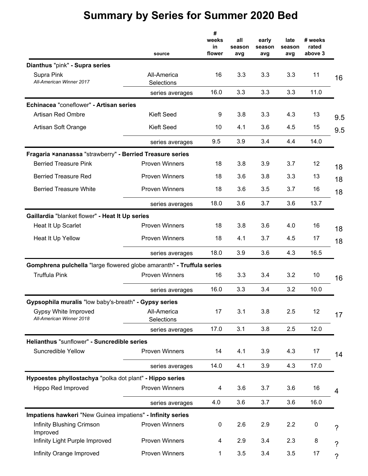|                                                                       | source                    | #<br>weeks<br>in<br>flower | all<br>season<br>avg | early<br>season<br>avg | late<br>season<br>avg | # weeks<br>rated<br>above 3 |                          |
|-----------------------------------------------------------------------|---------------------------|----------------------------|----------------------|------------------------|-----------------------|-----------------------------|--------------------------|
| Dianthus "pink" - Supra series                                        |                           |                            |                      |                        |                       |                             |                          |
| Supra Pink<br>All-American Winner 2017                                | All-America<br>Selections | 16                         | 3.3                  | 3.3                    | 3.3                   | 11                          | 16                       |
|                                                                       | series averages           | 16.0                       | 3.3                  | 3.3                    | 3.3                   | 11.0                        |                          |
| Echinacea "coneflower" - Artisan series                               |                           |                            |                      |                        |                       |                             |                          |
| Artisan Red Ombre                                                     | Kieft Seed                | 9                          | 3.8                  | 3.3                    | 4.3                   | 13                          | 9.5                      |
| Artisan Soft Orange                                                   | Kieft Seed                | 10                         | 4.1                  | 3.6                    | 4.5                   | 15                          | 9.5                      |
|                                                                       | series averages           | 9.5                        | 3.9                  | 3.4                    | 4.4                   | 14.0                        |                          |
| Fragaria ×ananassa "strawberry" - Berried Treasure series             |                           |                            |                      |                        |                       |                             |                          |
| <b>Berried Treasure Pink</b>                                          | <b>Proven Winners</b>     | 18                         | 3.8                  | 3.9                    | 3.7                   | 12                          | 18                       |
| <b>Berried Treasure Red</b>                                           | <b>Proven Winners</b>     | 18                         | 3.6                  | 3.8                    | 3.3                   | 13                          | 18                       |
| <b>Berried Treasure White</b>                                         | <b>Proven Winners</b>     | 18                         | 3.6                  | 3.5                    | 3.7                   | 16                          | 18                       |
|                                                                       | series averages           | 18.0                       | 3.6                  | 3.7                    | 3.6                   | 13.7                        |                          |
| Gaillardia "blanket flower" - Heat It Up series                       |                           |                            |                      |                        |                       |                             |                          |
| Heat It Up Scarlet                                                    | <b>Proven Winners</b>     | 18                         | 3.8                  | 3.6                    | 4.0                   | 16                          | 18                       |
| Heat It Up Yellow                                                     | <b>Proven Winners</b>     | 18                         | 4.1                  | 3.7                    | 4.5                   | 17                          | 18                       |
|                                                                       | series averages           | 18.0                       | 3.9                  | 3.6                    | 4.3                   | 16.5                        |                          |
| Gomphrena pulchella "large flowered globe amaranth" - Truffula series |                           |                            |                      |                        |                       |                             |                          |
| <b>Truffula Pink</b>                                                  | <b>Proven Winners</b>     | 16                         | 3.3                  | 3.4                    | 3.2                   | 10                          | 16                       |
|                                                                       | series averages           | 16.0                       | 3.3                  | 3.4                    | 3.2                   | 10.0                        |                          |
| Gypsophila muralis "low baby's-breath" - Gypsy series                 |                           |                            |                      |                        |                       |                             |                          |
| Gypsy White Improved<br>All-American Winner 2018                      | All-America<br>Selections | 17                         | 3.1                  | 3.8                    | 2.5                   | 12                          | 17                       |
|                                                                       | series averages           | 17.0                       | 3.1                  | 3.8                    | 2.5                   | 12.0                        |                          |
| Helianthus "sunflower" - Suncredible series                           |                           |                            |                      |                        |                       |                             |                          |
| Suncredible Yellow                                                    | <b>Proven Winners</b>     | 14                         | 4.1                  | 3.9                    | 4.3                   | 17                          | 14                       |
|                                                                       | series averages           | 14.0                       | 4.1                  | 3.9                    | 4.3                   | 17.0                        |                          |
| Hypoestes phyllostachya "polka dot plant" - Hippo series              |                           |                            |                      |                        |                       |                             |                          |
| Hippo Red Improved                                                    | <b>Proven Winners</b>     | 4                          | 3.6                  | 3.7                    | 3.6                   | 16                          | 4                        |
|                                                                       | series averages           | 4.0                        | 3.6                  | 3.7                    | 3.6                   | 16.0                        |                          |
| Impatiens hawkeri "New Guinea impatiens" - Infinity series            |                           |                            |                      |                        |                       |                             |                          |
| Infinity Blushing Crimson<br>Improved                                 | <b>Proven Winners</b>     | 0                          | 2.6                  | 2.9                    | 2.2                   | $\boldsymbol{0}$            | $\tilde{?}$              |
| Infinity Light Purple Improved                                        | <b>Proven Winners</b>     | 4                          | 2.9                  | 3.4                    | 2.3                   | 8                           | $\tilde{?}$              |
| Infinity Orange Improved                                              | Proven Winners            | 1                          | 3.5                  | 3.4                    | 3.5                   | 17                          | $\overline{\mathcal{C}}$ |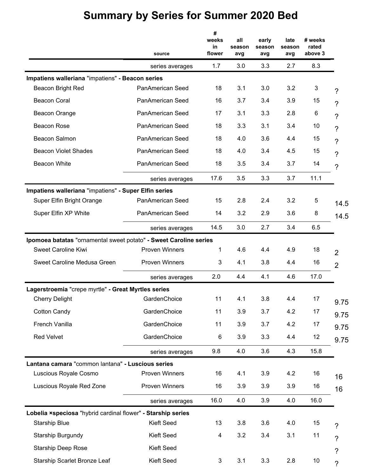|                                                                   | source                  | #<br>weeks<br>in<br>flower | all<br>season<br>avg | early<br>season<br>avg | late<br>season<br>avg | # weeks<br>rated<br>above 3 |                          |
|-------------------------------------------------------------------|-------------------------|----------------------------|----------------------|------------------------|-----------------------|-----------------------------|--------------------------|
|                                                                   | series averages         | 1.7                        | 3.0                  | 3.3                    | 2.7                   | 8.3                         |                          |
| Impatiens walleriana "impatiens" - Beacon series                  |                         |                            |                      |                        |                       |                             |                          |
| Beacon Bright Red                                                 | PanAmerican Seed        | 18                         | 3.1                  | 3.0                    | 3.2                   | 3                           | 7                        |
| <b>Beacon Coral</b>                                               | <b>PanAmerican Seed</b> | 16                         | 3.7                  | 3.4                    | 3.9                   | 15                          | $\gamma$                 |
| Beacon Orange                                                     | PanAmerican Seed        | 17                         | 3.1                  | 3.3                    | 2.8                   | 6                           | ?                        |
| <b>Beacon Rose</b>                                                | PanAmerican Seed        | 18                         | 3.3                  | 3.1                    | 3.4                   | 10                          | $\tilde{?}$              |
| Beacon Salmon                                                     | PanAmerican Seed        | 18                         | 4.0                  | 3.6                    | 4.4                   | 15                          | ?                        |
| <b>Beacon Violet Shades</b>                                       | PanAmerican Seed        | 18                         | 4.0                  | 3.4                    | 4.5                   | 15                          | ?                        |
| <b>Beacon White</b>                                               | PanAmerican Seed        | 18                         | 3.5                  | 3.4                    | 3.7                   | 14                          | 7                        |
|                                                                   | series averages         | 17.6                       | 3.5                  | 3.3                    | 3.7                   | 11.1                        |                          |
| Impatiens walleriana "impatiens" - Super Elfin series             |                         |                            |                      |                        |                       |                             |                          |
| Super Elfin Bright Orange                                         | <b>PanAmerican Seed</b> | 15                         | 2.8                  | 2.4                    | 3.2                   | 5                           | 14.5                     |
| Super Elfin XP White                                              | PanAmerican Seed        | 14                         | 3.2                  | 2.9                    | 3.6                   | 8                           | 14.5                     |
|                                                                   | series averages         | 14.5                       | 3.0                  | 2.7                    | 3.4                   | 6.5                         |                          |
| Ipomoea batatas "ornamental sweet potato" - Sweet Caroline series |                         |                            |                      |                        |                       |                             |                          |
| <b>Sweet Caroline Kiwi</b>                                        | <b>Proven Winners</b>   | 1                          | 4.6                  | 4.4                    | 4.9                   | 18                          | $\overline{2}$           |
| Sweet Caroline Medusa Green                                       | <b>Proven Winners</b>   | 3                          | 4.1                  | 3.8                    | 4.4                   | 16                          | $\overline{2}$           |
|                                                                   | series averages         | 2.0                        | 4.4                  | 4.1                    | 4.6                   | 17.0                        |                          |
| Lagerstroemia "crepe myrtle" - Great Myrtles series               |                         |                            |                      |                        |                       |                             |                          |
| <b>Cherry Delight</b>                                             | GardenChoice            | 11                         | 4.1                  | 3.8                    | 4.4                   | 17                          | 9.75                     |
| <b>Cotton Candy</b>                                               | GardenChoice            | 11                         | 3.9                  | 3.7                    | 4.2                   | 17                          | 9.75                     |
| French Vanilla                                                    | GardenChoice            | 11                         | 3.9                  | 3.7                    | 4.2                   | 17                          | 9.75                     |
| <b>Red Velvet</b>                                                 | GardenChoice            | 6                          | 3.9                  | 3.3                    | 4.4                   | 12                          | 9.75                     |
|                                                                   | series averages         | 9.8                        | 4.0                  | 3.6                    | 4.3                   | 15.8                        |                          |
| Lantana camara "common lantana" - Luscious series                 |                         |                            |                      |                        |                       |                             |                          |
| Luscious Royale Cosmo                                             | <b>Proven Winners</b>   | 16                         | 4.1                  | 3.9                    | 4.2                   | 16                          | 16                       |
| Luscious Royale Red Zone                                          | <b>Proven Winners</b>   | 16                         | 3.9                  | 3.9                    | 3.9                   | 16                          | 16                       |
|                                                                   | series averages         | 16.0                       | 4.0                  | 3.9                    | 4.0                   | 16.0                        |                          |
| Lobelia xspeciosa "hybrid cardinal flower" - Starship series      |                         |                            |                      |                        |                       |                             |                          |
| <b>Starship Blue</b>                                              | <b>Kieft Seed</b>       | 13                         | 3.8                  | 3.6                    | 4.0                   | 15                          | ?                        |
| Starship Burgundy                                                 | <b>Kieft Seed</b>       | 4                          | 3.2                  | 3.4                    | 3.1                   | 11                          | $\tilde{?}$              |
| <b>Starship Deep Rose</b>                                         | <b>Kieft Seed</b>       |                            |                      |                        |                       |                             | ?                        |
| Starship Scarlet Bronze Leaf                                      | Kieft Seed              | 3                          | 3.1                  | 3.3                    | 2.8                   | 10                          | $\overline{\phantom{a}}$ |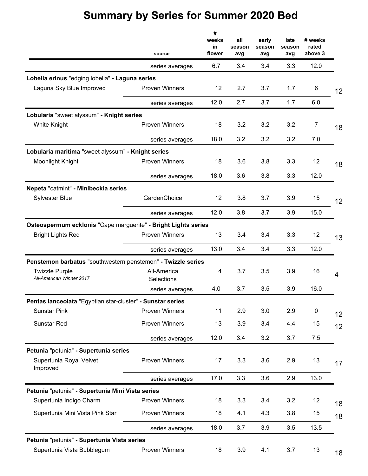|                                                                | source                    | #<br>weeks<br>in<br>flower | all<br>season<br>avg | early<br>season<br>avg | late<br>season<br>avg | # weeks<br>rated<br>above 3 |    |
|----------------------------------------------------------------|---------------------------|----------------------------|----------------------|------------------------|-----------------------|-----------------------------|----|
|                                                                | series averages           | 6.7                        | 3.4                  | 3.4                    | 3.3                   | 12.0                        |    |
| Lobelia erinus "edging lobelia" - Laguna series                |                           |                            |                      |                        |                       |                             |    |
| Laguna Sky Blue Improved                                       | <b>Proven Winners</b>     | 12                         | 2.7                  | 3.7                    | 1.7                   | 6                           | 12 |
|                                                                | series averages           | 12.0                       | 2.7                  | 3.7                    | 1.7                   | 6.0                         |    |
| Lobularia "sweet alyssum" - Knight series                      |                           |                            |                      |                        |                       |                             |    |
| <b>White Knight</b>                                            | <b>Proven Winners</b>     | 18                         | 3.2                  | 3.2                    | 3.2                   | 7                           | 18 |
|                                                                | series averages           | 18.0                       | 3.2                  | 3.2                    | 3.2                   | 7.0                         |    |
| Lobularia maritima "sweet alyssum" - Knight series             |                           |                            |                      |                        |                       |                             |    |
| Moonlight Knight                                               | <b>Proven Winners</b>     | 18                         | 3.6                  | 3.8                    | 3.3                   | 12                          | 18 |
|                                                                | series averages           | 18.0                       | 3.6                  | 3.8                    | 3.3                   | 12.0                        |    |
| Nepeta "catmint" - Minibeckia series                           |                           |                            |                      |                        |                       |                             |    |
| <b>Sylvester Blue</b>                                          | GardenChoice              | 12                         | 3.8                  | 3.7                    | 3.9                   | 15                          | 12 |
|                                                                | series averages           | 12.0                       | 3.8                  | 3.7                    | 3.9                   | 15.0                        |    |
| Osteospermum ecklonis "Cape marguerite" - Bright Lights series |                           |                            |                      |                        |                       |                             |    |
| <b>Bright Lights Red</b>                                       | <b>Proven Winners</b>     | 13                         | 3.4                  | 3.4                    | 3.3                   | 12                          | 13 |
|                                                                | series averages           | 13.0                       | 3.4                  | 3.4                    | 3.3                   | 12.0                        |    |
| Penstemon barbatus "southwestern penstemon" - Twizzle series   |                           |                            |                      |                        |                       |                             |    |
| <b>Twizzle Purple</b><br>All-American Winner 2017              | All-America<br>Selections | 4                          | 3.7                  | 3.5                    | 3.9                   | 16                          | 4  |
|                                                                | series averages           | 4.0                        | 3.7                  | 3.5                    | 3.9                   | 16.0                        |    |
| Pentas lanceolata "Egyptian star-cluster" - Sunstar series     |                           |                            |                      |                        |                       |                             |    |
| <b>Sunstar Pink</b>                                            | <b>Proven Winners</b>     | 11                         | 2.9                  | 3.0                    | 2.9                   | 0                           | 12 |
| <b>Sunstar Red</b>                                             | <b>Proven Winners</b>     | 13                         | 3.9                  | 3.4                    | 4.4                   | 15                          | 12 |
|                                                                | series averages           | 12.0                       | 3.4                  | 3.2                    | 3.7                   | 7.5                         |    |
| Petunia "petunia" - Supertunia series                          |                           |                            |                      |                        |                       |                             |    |
| Supertunia Royal Velvet<br>Improved                            | <b>Proven Winners</b>     | 17                         | 3.3                  | 3.6                    | 2.9                   | 13                          | 17 |
|                                                                | series averages           | 17.0                       | 3.3                  | 3.6                    | 2.9                   | 13.0                        |    |
| Petunia "petunia" - Supertunia Mini Vista series               |                           |                            |                      |                        |                       |                             |    |
| Supertunia Indigo Charm                                        | <b>Proven Winners</b>     | 18                         | 3.3                  | 3.4                    | 3.2                   | 12                          | 18 |
| Supertunia Mini Vista Pink Star                                | <b>Proven Winners</b>     | 18                         | 4.1                  | 4.3                    | 3.8                   | 15                          | 18 |
|                                                                | series averages           | 18.0                       | 3.7                  | 3.9                    | 3.5                   | 13.5                        |    |
| Petunia "petunia" - Supertunia Vista series                    |                           |                            |                      |                        |                       |                             |    |
| Supertunia Vista Bubblegum                                     | Proven Winners            | 18                         | 3.9                  | 4.1                    | 3.7                   | 13                          | 18 |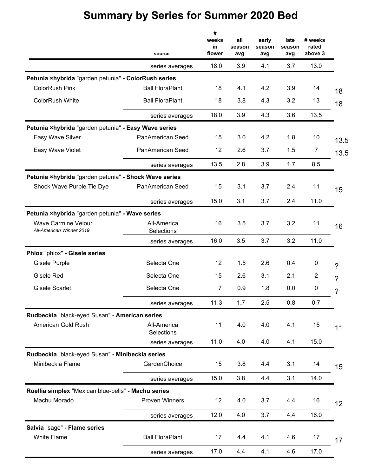|                                                        | source                    | #<br>weeks<br>in<br>flower | all<br>season<br>avg | early<br>season<br>avg | late<br>season<br>avg | # weeks<br>rated<br>above 3 |      |
|--------------------------------------------------------|---------------------------|----------------------------|----------------------|------------------------|-----------------------|-----------------------------|------|
|                                                        | series averages           | 18.0                       | 3.9                  | 4.1                    | 3.7                   | 13.0                        |      |
| Petunia ×hybrida "garden petunia" - ColorRush series   |                           |                            |                      |                        |                       |                             |      |
| <b>ColorRush Pink</b>                                  | <b>Ball FloraPlant</b>    | 18                         | 4.1                  | 4.2                    | 3.9                   | 14                          | 18   |
| <b>ColorRush White</b>                                 | <b>Ball FloraPlant</b>    | 18                         | 3.8                  | 4.3                    | 3.2                   | 13                          | 18   |
|                                                        | series averages           | 18.0                       | 3.9                  | 4.3                    | 3.6                   | 13.5                        |      |
| Petunia ×hybrida "garden petunia" - Easy Wave series   |                           |                            |                      |                        |                       |                             |      |
| Easy Wave Silver                                       | PanAmerican Seed          | 15                         | 3.0                  | 4.2                    | 1.8                   | 10                          | 13.5 |
| Easy Wave Violet                                       | PanAmerican Seed          | 12                         | 2.6                  | 3.7                    | 1.5                   | $\overline{7}$              | 13.5 |
|                                                        | series averages           | 13.5                       | 2.8                  | 3.9                    | 1.7                   | 8.5                         |      |
| Petunia ×hybrida "garden petunia" - Shock Wave series  |                           |                            |                      |                        |                       |                             |      |
| Shock Wave Purple Tie Dye                              | PanAmerican Seed          | 15                         | 3.1                  | 3.7                    | 2.4                   | 11                          | 15   |
|                                                        | series averages           | 15.0                       | 3.1                  | 3.7                    | 2.4                   | 11.0                        |      |
| Petunia ×hybrida "garden petunia" - Wave series        |                           |                            |                      |                        |                       |                             |      |
| <b>Wave Carmine Velour</b><br>All-American Winner 2019 | All-America<br>Selections | 16                         | 3.5                  | 3.7                    | 3.2                   | 11                          | 16   |
|                                                        | series averages           | 16.0                       | 3.5                  | 3.7                    | 3.2                   | 11.0                        |      |
| Phlox "phlox" - Gisele series                          |                           |                            |                      |                        |                       |                             |      |
| Gisele Purple                                          | Selecta One               | 12                         | 1.5                  | 2.6                    | 0.4                   | $\boldsymbol{0}$            | ?    |
| Gisele Red                                             | Selecta One               | 15                         | 2.6                  | 3.1                    | 2.1                   | $\overline{2}$              | ?    |
| <b>Gisele Scarlet</b>                                  | Selecta One               | 7                          | 0.9                  | 1.8                    | 0.0                   | 0                           | ?    |
|                                                        | series averages           | 11.3                       | 1.7                  | 2.5                    | 0.8                   | 0.7                         |      |
| Rudbeckia "black-eyed Susan" - American series         |                           |                            |                      |                        |                       |                             |      |
| American Gold Rush                                     | All-America<br>Selections | 11                         | 4.0                  | 4.0                    | 4.1                   | 15                          | 11   |
|                                                        | series averages           | 11.0                       | 4.0                  | 4.0                    | 4.1                   | 15.0                        |      |
| Rudbeckia "black-eyed Susan" - Minibeckia series       |                           |                            |                      |                        |                       |                             |      |
| Minibeckia Flame                                       | GardenChoice              | 15                         | 3.8                  | 4.4                    | 3.1                   | 14                          | 15   |
|                                                        | series averages           | 15.0                       | 3.8                  | 4.4                    | 3.1                   | 14.0                        |      |
| Ruellia simplex "Mexican blue-bells" - Machu series    |                           |                            |                      |                        |                       |                             |      |
| Machu Morado                                           | <b>Proven Winners</b>     | 12                         | 4.0                  | 3.7                    | 4.4                   | 16                          | 12   |
|                                                        | series averages           | 12.0                       | 4.0                  | 3.7                    | 4.4                   | 16.0                        |      |
| Salvia "sage" - Flame series                           |                           |                            |                      |                        |                       |                             |      |
| White Flame                                            | <b>Ball FloraPlant</b>    | 17                         | 4.4                  | 4.1                    | 4.6                   | 17                          | 17   |
|                                                        | series averages           | 17.0                       | 4.4                  | 4.1                    | 4.6                   | 17.0                        |      |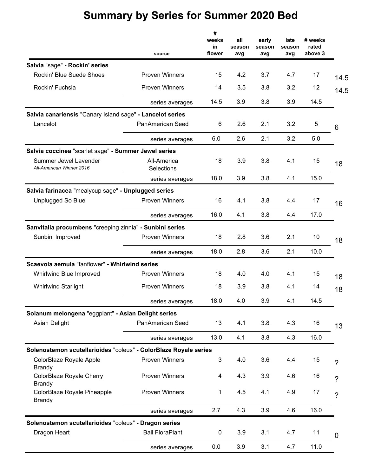|                                                                  |                           | #                     |                      |                        |                       |                             |                |
|------------------------------------------------------------------|---------------------------|-----------------------|----------------------|------------------------|-----------------------|-----------------------------|----------------|
|                                                                  | source                    | weeks<br>in<br>flower | all<br>season<br>avg | early<br>season<br>avg | late<br>season<br>avg | # weeks<br>rated<br>above 3 |                |
| Salvia "sage" - Rockin' series                                   |                           |                       |                      |                        |                       |                             |                |
| Rockin' Blue Suede Shoes                                         | <b>Proven Winners</b>     | 15                    | 4.2                  | 3.7                    | 4.7                   | 17                          | 14.5           |
| Rockin' Fuchsia                                                  | <b>Proven Winners</b>     | 14                    | 3.5                  | 3.8                    | 3.2                   | 12                          | 14.5           |
|                                                                  | series averages           | 14.5                  | 3.9                  | 3.8                    | 3.9                   | 14.5                        |                |
| Salvia canariensis "Canary Island sage" - Lancelot series        |                           |                       |                      |                        |                       |                             |                |
| Lancelot                                                         | PanAmerican Seed          | 6                     | 2.6                  | 2.1                    | 3.2                   | 5                           | 6              |
|                                                                  | series averages           | 6.0                   | 2.6                  | 2.1                    | 3.2                   | 5.0                         |                |
| Salvia coccinea "scarlet sage" - Summer Jewel series             |                           |                       |                      |                        |                       |                             |                |
| Summer Jewel Lavender<br>All-American Winner 2016                | All-America<br>Selections | 18                    | 3.9                  | 3.8                    | 4.1                   | 15                          | 18             |
|                                                                  | series averages           | 18.0                  | 3.9                  | 3.8                    | 4.1                   | 15.0                        |                |
| Salvia farinacea "mealycup sage" - Unplugged series              |                           |                       |                      |                        |                       |                             |                |
| <b>Unplugged So Blue</b>                                         | <b>Proven Winners</b>     | 16                    | 4.1                  | 3.8                    | 4.4                   | 17                          | 16             |
|                                                                  | series averages           | 16.0                  | 4.1                  | 3.8                    | 4.4                   | 17.0                        |                |
| Sanvitalia procumbens "creeping zinnia" - Sunbini series         |                           |                       |                      |                        |                       |                             |                |
| Sunbini Improved                                                 | <b>Proven Winners</b>     | 18                    | 2.8                  | 3.6                    | 2.1                   | 10                          | 18             |
|                                                                  | series averages           | 18.0                  | 2.8                  | 3.6                    | 2.1                   | 10.0                        |                |
| Scaevola aemula "fanflower" - Whirlwind series                   |                           |                       |                      |                        |                       |                             |                |
| Whirlwind Blue Improved                                          | <b>Proven Winners</b>     | 18                    | 4.0                  | 4.0                    | 4.1                   | 15                          | 18             |
| <b>Whirlwind Starlight</b>                                       | <b>Proven Winners</b>     | 18                    | 3.9                  | 3.8                    | 4.1                   | 14                          | 18             |
|                                                                  | series averages           | 18.0                  | 4.0                  | 3.9                    | 4.1                   | 14.5                        |                |
| Solanum melongena "eggplant" - Asian Delight series              |                           |                       |                      |                        |                       |                             |                |
| Asian Delight                                                    | PanAmerican Seed          | 13                    | 4.1                  | 3.8                    | 4.3                   | 16                          | 13             |
|                                                                  | series averages           | 13.0                  | 4.1                  | 3.8                    | 4.3                   | 16.0                        |                |
| Solenostemon scutellarioides "coleus" - ColorBlaze Royale series |                           |                       |                      |                        |                       |                             |                |
| ColorBlaze Royale Apple<br><b>Brandy</b>                         | <b>Proven Winners</b>     | 3                     | 4.0                  | 3.6                    | 4.4                   | 15                          | ?              |
| ColorBlaze Royale Cherry<br><b>Brandy</b>                        | <b>Proven Winners</b>     | 4                     | 4.3                  | 3.9                    | 4.6                   | 16                          | ?              |
| ColorBlaze Royale Pineapple<br><b>Brandy</b>                     | Proven Winners            | 1                     | 4.5                  | 4.1                    | 4.9                   | 17                          | $\overline{?}$ |
|                                                                  | series averages           | 2.7                   | 4.3                  | 3.9                    | 4.6                   | 16.0                        |                |
| Solenostemon scutellarioides "coleus" - Dragon series            |                           |                       |                      |                        |                       |                             |                |
| Dragon Heart                                                     | <b>Ball FloraPlant</b>    | 0                     | 3.9                  | 3.1                    | 4.7                   | 11                          | 0              |
|                                                                  | series averages           | 0.0                   | 3.9                  | 3.1                    | 4.7                   | 11.0                        |                |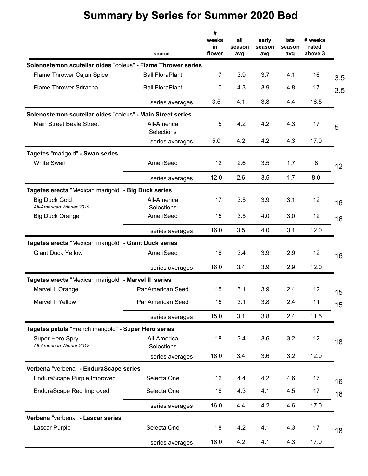|                                                              | source                    | #<br>weeks<br>in<br>flower | all<br>season<br>avg | early<br>season<br>avg | late<br>season<br>avg | # weeks<br>rated<br>above 3 |                 |
|--------------------------------------------------------------|---------------------------|----------------------------|----------------------|------------------------|-----------------------|-----------------------------|-----------------|
| Solenostemon scutellarioides "coleus" - Flame Thrower series |                           |                            |                      |                        |                       |                             |                 |
| Flame Thrower Cajun Spice                                    | <b>Ball FloraPlant</b>    | $\overline{7}$             | 3.9                  | 3.7                    | 4.1                   | 16                          | 3.5             |
| Flame Thrower Sriracha                                       | <b>Ball FloraPlant</b>    | 0                          | 4.3                  | 3.9                    | 4.8                   | 17                          | 3.5             |
|                                                              | series averages           | 3.5                        | 4.1                  | 3.8                    | 4.4                   | 16.5                        |                 |
| Solenostemon scutellarioides "coleus" - Main Street series   |                           |                            |                      |                        |                       |                             |                 |
| Main Street Beale Street                                     | All-America<br>Selections | 5                          | 4.2                  | 4.2                    | 4.3                   | 17                          | 5               |
|                                                              | series averages           | 5.0                        | 4.2                  | 4.2                    | 4.3                   | 17.0                        |                 |
| Tagetes "marigold" - Swan series                             |                           |                            |                      |                        |                       |                             |                 |
| White Swan                                                   | AmeriSeed                 | 12                         | 2.6                  | 3.5                    | 1.7                   | 8                           | 12 <sup>2</sup> |
|                                                              | series averages           | 12.0                       | 2.6                  | 3.5                    | 1.7                   | 8.0                         |                 |
| Tagetes erecta "Mexican marigold" - Big Duck series          |                           |                            |                      |                        |                       |                             |                 |
| <b>Big Duck Gold</b><br>All-American Winner 2019             | All-America               | 17                         | 3.5                  | 3.9                    | 3.1                   | 12                          | 16              |
| <b>Big Duck Orange</b>                                       | Selections<br>AmeriSeed   | 15                         | 3.5                  | 4.0                    | 3.0                   | 12                          | 16              |
|                                                              | series averages           | 16.0                       | 3.5                  | 4.0                    | 3.1                   | 12.0                        |                 |
| Tagetes erecta "Mexican marigold" - Giant Duck series        |                           |                            |                      |                        |                       |                             |                 |
| <b>Giant Duck Yellow</b>                                     | AmeriSeed                 | 16                         | 3.4                  | 3.9                    | 2.9                   | 12                          | 16              |
|                                                              | series averages           | 16.0                       | 3.4                  | 3.9                    | 2.9                   | 12.0                        |                 |
| Tagetes erecta "Mexican marigold" - Marvel II series         |                           |                            |                      |                        |                       |                             |                 |
| Marvel II Orange                                             | PanAmerican Seed          | 15                         | 3.1                  | 3.9                    | 2.4                   | 12                          | 15              |
| Marvel II Yellow                                             | PanAmerican Seed          | 15                         | 3.1                  | 3.8                    | 2.4                   | 11                          | 15              |
|                                                              | series averages           | 15.0                       | 3.1                  | 3.8                    | 2.4                   | 11.5                        |                 |
| Tagetes patula "French marigold" - Super Hero series         |                           |                            |                      |                        |                       |                             |                 |
| Super Hero Spry<br>All-American Winner 2018                  | All-America<br>Selections | 18                         | 3.4                  | 3.6                    | 3.2                   | 12                          | 18              |
|                                                              | series averages           | 18.0                       | 3.4                  | 3.6                    | 3.2                   | 12.0                        |                 |
| Verbena "verbena" - EnduraScape series                       |                           |                            |                      |                        |                       |                             |                 |
| EnduraScape Purple Improved                                  | Selecta One               | 16                         | 4.4                  | 4.2                    | 4.6                   | 17                          | 16              |
| EnduraScape Red Improved                                     | Selecta One               | 16                         | 4.3                  | 4.1                    | 4.5                   | 17                          | 16              |
|                                                              | series averages           | 16.0                       | 4.4                  | 4.2                    | 4.6                   | 17.0                        |                 |
| Verbena "verbena" - Lascar series                            |                           |                            |                      |                        |                       |                             |                 |
| Lascar Purple                                                | Selecta One               | 18                         | 4.2                  | 4.1                    | 4.3                   | 17                          | 18              |
|                                                              | series averages           | 18.0                       | 4.2                  | 4.1                    | 4.3                   | 17.0                        |                 |